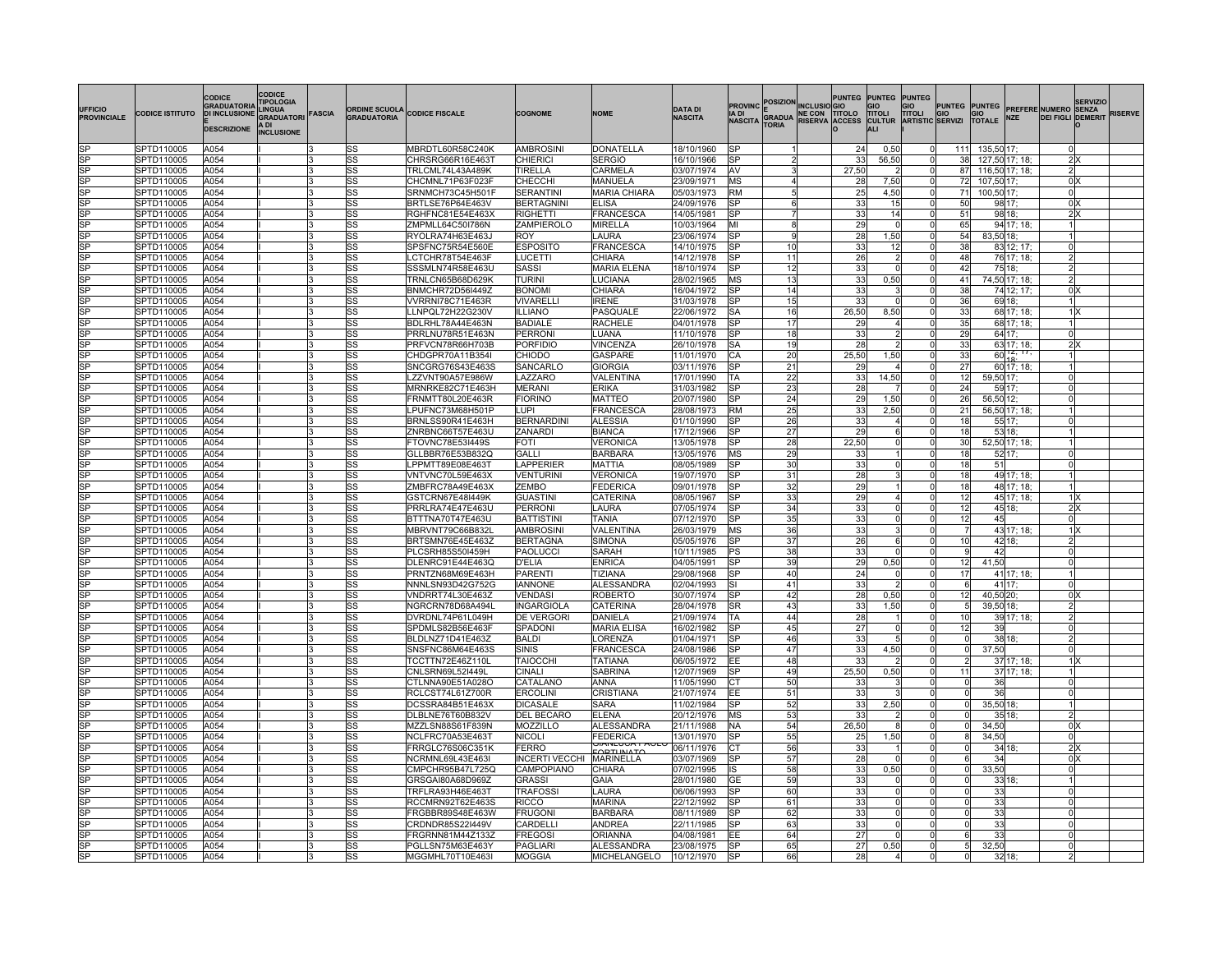| <b>UFFICIO</b><br><b>PROVINCIALE</b> | <b>CODICE ISTITUTO</b>   | <b>CODICE</b><br><b>GRADUATORIA</b><br><b>DI INCLUSIONE</b><br><b>DESCRIZIONE</b> | CODICE<br><b>TIPOLOGIA</b><br><b>LINGUA</b><br><b>GRADUATORI FASCIA</b><br>A DI<br><b>INCLUSIONE</b> |          | <b>ORDINE SCUOLA</b><br><b>GRADUATORIA</b> | <b>CODICE FISCALE</b>                | <b>COGNOME</b>                  | <b>NOME</b>                      | <b>DATA DI</b><br><b>NASCITA</b> | A DI<br><b>NASCITA</b>              | <b>TORIA</b>          | <b>PROVINC POSIZION INCLUSIO GIO</b><br>E<br>GRADUA NE CON TITOLO<br>TOPIA RISERVA ACCESS | <b>PUNTEG</b>         | <b>PUNTEG PUNTEG</b><br><b>TITOLI</b><br><b>CULTUR ARTISTIC SERVIZI</b><br><b>ALI</b> | GIO<br>TITOLI        | <b>PUNTEG</b><br>GIO   | <b>PUNTEG</b><br>GIO<br><b>TOTALE</b> | <b>NZE</b>                      | PREFERE NUMERO SENZA<br><b>DEI FIGLI DEMERIT</b> | <b>SERVIZIO</b> | <b>RISERVE</b> |
|--------------------------------------|--------------------------|-----------------------------------------------------------------------------------|------------------------------------------------------------------------------------------------------|----------|--------------------------------------------|--------------------------------------|---------------------------------|----------------------------------|----------------------------------|-------------------------------------|-----------------------|-------------------------------------------------------------------------------------------|-----------------------|---------------------------------------------------------------------------------------|----------------------|------------------------|---------------------------------------|---------------------------------|--------------------------------------------------|-----------------|----------------|
|                                      |                          |                                                                                   |                                                                                                      |          |                                            |                                      |                                 |                                  |                                  |                                     |                       |                                                                                           |                       |                                                                                       |                      |                        |                                       |                                 |                                                  |                 |                |
| SP                                   | SPTD110005               | A054                                                                              |                                                                                                      |          | SS                                         | MBRDTL60R58C240K                     | AMBROSINI                       | <b>DONATELLA</b>                 | 18/10/1960                       | <b>SP</b>                           |                       |                                                                                           | 24                    | 0,50                                                                                  |                      | 111                    | 135,50 17;                            |                                 |                                                  |                 |                |
| $\overline{\text{SP}}$<br> SP        | SPTD110005               | A054<br>A054                                                                      |                                                                                                      |          | <b>SS</b>                                  | CHRSRG66R16E463T                     | CHIERICI<br>TIRELLA             | <b>SERGIO</b><br>CARMELA         | 16/10/1966                       | <b>SP</b><br><b>AV</b>              | 3                     |                                                                                           | 33<br>27,50           | 56,50<br>$\overline{2}$                                                               |                      | 38                     |                                       | 127,50 17; 18;                  | 2X<br>$\mathfrak{p}$                             |                 |                |
| SP                                   | SPTD110005<br>SPTD110005 | A054                                                                              |                                                                                                      |          | SS<br> SS                                  | FRLCML74L43A489K<br>CHCMNL71P63F023F | CHECCHI                         | MANUELA                          | 03/07/1974<br>23/09/1971         | <b>IMS</b>                          |                       |                                                                                           | 28                    | 7,50                                                                                  |                      | 87<br>72               | 107,50 17;                            | 116,50 17; 18;                  |                                                  | 0 <sup>x</sup>  |                |
| SP                                   | SPTD110005               | A054                                                                              |                                                                                                      |          | lss                                        | SRNMCH73C45H501F                     | <b>SERANTINI</b>                | <b>MARIA CHIARA</b>              | 05/03/1973                       | <b>RM</b>                           | 5                     |                                                                                           | 25                    | 4,50                                                                                  |                      | 71                     | 100,50 17;                            |                                 | $\Omega$                                         |                 |                |
| SP                                   | SPTD110005               | A054                                                                              |                                                                                                      |          | SS                                         | BRTLSE76P64E463V                     | <b>BERTAGNIN</b>                | <b>ELISA</b>                     | 24/09/1976                       | lsP                                 | 6                     |                                                                                           | 33                    | 15                                                                                    | $\Omega$             | 50                     |                                       | 98 17;                          | 0 <sup>2</sup>                                   |                 |                |
|                                      | SPTD110005               | A054                                                                              |                                                                                                      |          | lss                                        | RGHFNC81E54E463)                     | <b>RIGHETTI</b>                 | <b>FRANCESCA</b>                 | 14/05/1981                       | SP                                  |                       |                                                                                           | 33                    | 14                                                                                    | $\Omega$             | 51                     |                                       | 98 18                           |                                                  | 2X              |                |
| SP                                   | SPTD110005               | A054                                                                              |                                                                                                      |          | lss                                        | ZMPMLL64C50I786N                     | ZAMPIEROLO                      | MIRELLA                          | 10/03/1964                       | MI                                  | 8                     |                                                                                           | 29                    | 0l                                                                                    |                      | 65                     |                                       | 94 17; 18;                      |                                                  |                 |                |
| SP                                   | SPTD110005               | A054                                                                              |                                                                                                      |          | lss                                        | RYOLRA74H63E463J                     | <b>ROY</b>                      | LAURA                            | 23/06/1974                       | lSP                                 | 9                     |                                                                                           | 28                    | 1,50                                                                                  |                      | 54                     | 83,50 18;                             |                                 |                                                  |                 |                |
| $\overline{\text{SP}}$               | SPTD110005               | A054                                                                              |                                                                                                      |          | <b>SS</b>                                  | SPSFNC75R54E560E                     | <b>ESPOSITO</b>                 | <b>FRANCESCA</b>                 | 14/10/1975                       | $\overline{\text{SP}}$              | 10                    |                                                                                           | 33                    | 12                                                                                    |                      | 38                     |                                       | 83 12; 17;                      |                                                  |                 |                |
| SP<br>SP                             | SPTD110005<br>SPTD110005 | A054<br>A054                                                                      |                                                                                                      |          | <b>SS</b><br> SS                           | LCTCHR78T54E463F<br>SSSMLN74R58E463U | LUCETTI<br>SASSI                | CHIARA<br><b>MARIA ELENA</b>     | 14/12/1978<br>18/10/1974         | $\overline{\text{SP}}$<br><b>SP</b> | $\overline{11}$<br>12 |                                                                                           | $\overline{26}$<br>33 | $\overline{2}$<br>n                                                                   |                      | 48<br>42               |                                       | 76 17; 18;<br>75 18;            |                                                  |                 |                |
| <b>SP</b>                            | SPTD110005               | A054                                                                              |                                                                                                      |          | SS                                         | TRNLCN65B68D629K                     | <b>TURINI</b>                   | <b>UCIANA</b>                    | 28/02/1965                       | МS                                  | 13                    |                                                                                           | 33                    | 0,50                                                                                  |                      | 41                     |                                       | 74,50 17; 18;                   |                                                  |                 |                |
| SP                                   | SPTD110005               | A054                                                                              |                                                                                                      |          | lss                                        | BNMCHR72D56I449Z                     | <b>BONOMI</b>                   | CHIARA                           | 16/04/1972                       | <b>SP</b>                           | 14                    |                                                                                           | 33                    |                                                                                       |                      | 38                     |                                       | 74 12; 17;                      | 0X                                               |                 |                |
| SP                                   | SPTD110005               | A054                                                                              |                                                                                                      |          | lss                                        | VVRRNI78C71E463R                     | VIVARELL                        | <b>RENE</b>                      | 31/03/1978                       | <b>SP</b>                           | 15                    |                                                                                           | 33                    | $\Omega$                                                                              |                      | 36                     |                                       | 69 18:                          |                                                  |                 |                |
| <b>ISP</b>                           | SPTD110005               | A054                                                                              |                                                                                                      |          | lss                                        | LLNPQL72H22G230V                     | <b>ILLIANO</b>                  | PASQUALE                         | 22/06/1972                       | lSA                                 | 16                    |                                                                                           | 26,50                 | 8,50                                                                                  | 0                    | 33                     |                                       | 68 17; 18;                      |                                                  | 1 X             |                |
| ISP                                  | SPTD110005               | A054                                                                              |                                                                                                      | lЗ       | lSS                                        | BDLRHL78A44E463N                     | <b>BADIALE</b>                  | <b>RACHELE</b>                   | 04/01/1978                       | <b>SP</b>                           | 17                    |                                                                                           | 29                    | $\frac{4}{ }$                                                                         | $\Omega$             | 35                     |                                       | 68 17; 18;                      |                                                  |                 |                |
| SP                                   | SPTD110005               | A054                                                                              |                                                                                                      |          | lss                                        | PRRLNU78R51E463N                     | PERRON                          | LUANA                            | 11/10/1978                       | SP                                  | 18                    |                                                                                           | 33                    | 2 <sup>1</sup>                                                                        | U                    | 29                     |                                       | 64 17;                          | $\Omega$                                         |                 |                |
| SP                                   | SPTD110005               | A054                                                                              |                                                                                                      | 3        | SS                                         | PRFVCN78R66H703B                     | <b>PORFIDIO</b>                 | /INCENZA                         | 26/10/1978                       | SA                                  | 19 <sup>1</sup>       |                                                                                           | 28                    | $\overline{2}$                                                                        |                      | 33                     |                                       | 63 17; 18;<br>$60\frac{12}{12}$ |                                                  | 2X              |                |
| SP<br>SP                             | SPTD110005<br>SPTD110005 | A054<br>A054                                                                      |                                                                                                      |          | lss<br><b>SS</b>                           | CHDGPR70A11B354I<br>SNCGRG76S43E463S | CHIODO<br>SANCARLO              | <b>GASPARE</b><br><b>GIORGIA</b> | 11/01/1970<br>03/11/1976         | СA<br>S <sub>P</sub>                | 20<br>21              |                                                                                           | 25,50<br>29           | 1,50<br>$\overline{4}$                                                                |                      | 33<br>27               |                                       | 60 17; 18;                      |                                                  |                 |                |
| SP                                   | SPTD110005               | A054                                                                              |                                                                                                      | lЗ       | SS                                         | LZZVNT90A57E986W                     | LAZZARO                         | VALENTINA                        | 17/01/1990                       | TA                                  | $\overline{22}$       |                                                                                           | 33                    | 14,50                                                                                 |                      | 12                     | 59,50 17;                             |                                 | $\Omega$                                         |                 |                |
| SP                                   | SPTD110005               | A054                                                                              |                                                                                                      |          | SS                                         | MRNRKE82C71E463H                     | MERANI                          | ERIKA                            | 31/03/1982                       | <b>SP</b>                           | $\overline{23}$       |                                                                                           | 28                    |                                                                                       |                      | 24                     |                                       | 59 17;                          |                                                  |                 |                |
| lsP                                  | SPTD110005               | A054                                                                              |                                                                                                      |          | SS                                         | FRNMTT80L20E463R                     | <b>FIORINO</b>                  | <b>MATTEO</b>                    | 20/07/1980                       | lsP.                                | 24                    |                                                                                           | 29                    | 1,50                                                                                  |                      | 26                     | 56,50 12;                             |                                 |                                                  |                 |                |
| SP                                   | SPTD110005               | A054                                                                              |                                                                                                      |          | SS                                         | PUFNC73M68H501P                      | UPI.                            | FRANCESCA                        | 28/08/1973                       | RM                                  | 25                    |                                                                                           | 33                    | 2,50                                                                                  |                      | 21                     |                                       | 56,50 17; 18;                   |                                                  |                 |                |
| SP                                   | SPTD110005               | A054                                                                              |                                                                                                      |          | <b>SS</b>                                  | BRNLSS90R41E463H                     | <b>BERNARDINI</b>               | <b>ALESSIA</b>                   | 01/10/1990                       | SP                                  | 26                    |                                                                                           | 33                    | 4                                                                                     |                      | 18                     |                                       | 55 17;                          |                                                  |                 |                |
| SP                                   | SPTD110005               | A054                                                                              |                                                                                                      | IЗ       | SS                                         | ZNRBNC66T57E463U                     | ZANARDI                         | <b>BIANCA</b>                    | 17/12/1966                       | <b>SP</b>                           | 27                    |                                                                                           | 29                    | 61                                                                                    | $\Omega$             | 18                     |                                       | 53 18;                          |                                                  |                 |                |
|                                      | SPTD110005               | A054                                                                              |                                                                                                      |          | SS                                         | FTOVNC78E53I449S                     | FOTI                            | <b>VERONICA</b>                  | 13/05/1978                       | SP                                  | 28                    |                                                                                           | 22,50                 | 0l                                                                                    |                      | 30                     |                                       | 52,50 17; 18;                   |                                                  |                 |                |
| SP<br>SP                             | SPTD110005               | A054                                                                              |                                                                                                      | l3       | SS                                         | GLLBBR76E53B832Q                     | GALLI                           | <b>BARBARA</b>                   | 13/05/1976                       | MS                                  | 29<br>30              |                                                                                           | 33<br>33              | $\Omega$                                                                              |                      | 18                     |                                       | 52 17;                          |                                                  |                 |                |
| $\overline{\text{SP}}$               | SPTD110005<br>SPTD110005 | A054<br>A054                                                                      |                                                                                                      |          | lss<br><b>SS</b>                           | LPPMTT89E08E463T<br>VNTVNC70L59E463X | LAPPERIER<br><b>VENTURINI</b>   | <b>MATTIA</b><br>VERONICA        | 08/05/1989<br>19/07/1970         | lSP<br>$\overline{\text{SP}}$       | 31                    |                                                                                           | 28                    | 3                                                                                     |                      | 18<br>18               | 51                                    | 49 17; 18;                      |                                                  |                 |                |
| SP                                   | SPTD110005               | A054                                                                              |                                                                                                      |          | <b>SS</b>                                  | ZMBFRC78A49E463X                     | <b>ZEMBO</b>                    | FEDERICA                         | 09/01/1978                       | <b>SP</b>                           | 32                    |                                                                                           | 29                    |                                                                                       |                      | 18                     |                                       | 48 17; 18;                      |                                                  |                 |                |
| SP                                   | SPTD110005               | A054                                                                              |                                                                                                      |          | SS                                         | GSTCRN67E48I449K                     | GUASTINI                        | CATERINA                         | 08/05/1967                       | SP                                  | 33                    |                                                                                           | 29                    | $\overline{\mathbf{A}}$                                                               |                      | 12                     |                                       | 45 17; 18;                      | $1\text{X}$                                      |                 |                |
| SP                                   | SPTD110005               | A054                                                                              |                                                                                                      |          | lss                                        | PRRLRA74E47E463L                     | PERRONI                         | <b>AURA</b>                      | 07/05/1974                       | <b>SP</b>                           | 34                    |                                                                                           | 33                    | $\Omega$                                                                              |                      | 12                     |                                       | 45 18;                          |                                                  | 2x              |                |
| lsP                                  | SPTD110005               | A054                                                                              |                                                                                                      |          | lss                                        | BTTTNA70T47E463U                     | <b>BATTISTINI</b>               | <b>TANIA</b>                     | 07/12/1970                       | lSP.                                | 35                    |                                                                                           | 33                    | Ωl                                                                                    |                      | 12                     | 45                                    |                                 |                                                  |                 |                |
| SP                                   | SPTD110005               | A054                                                                              |                                                                                                      |          | lss                                        | MBRVNT79C66B832L                     | <b>AMBROSIN</b>                 | <b>/ALENTINA</b>                 | 26/03/1979                       | MS                                  | 36                    |                                                                                           | 33                    | 3                                                                                     |                      | $\overline{7}$         |                                       | 43 17; 18;                      |                                                  | 1lx             |                |
| SP                                   | SPTD110005               | A054                                                                              |                                                                                                      | l3       | lss                                        | BRTSMN76E45E463Z                     | <b>BERTAGNA</b>                 | SIMONA                           | 05/05/1976                       | lsP.                                | 37                    |                                                                                           | 26                    | 6                                                                                     | 0                    | 10                     |                                       | 42 18;                          | 2                                                |                 |                |
| SP                                   | SPTD110005               | A054                                                                              |                                                                                                      | l3       | lSS                                        | PLCSRH85S50I459H                     | <b>PAOLUCCI</b>                 | SARAH                            | 10/11/1985                       | PS                                  | 38                    |                                                                                           | 33                    | 0l                                                                                    | $\Omega$             | -9                     | 42                                    |                                 | $\Omega$                                         |                 |                |
| SP<br>SP                             | SPTD110005<br>SPTD110005 | A054<br>A054                                                                      |                                                                                                      |          | lss                                        | DLENRC91E44E463C<br>PRNTZN68M69E463H | D'ELIA<br>PARENTI               | <b>ENRICA</b><br><b>TIZIANA</b>  | 04/05/1991<br>29/08/1968         | SP<br>SP                            | 39<br>40l             |                                                                                           | 29<br>24              | 0,50<br>$\Omega$                                                                      | $\Omega$             | 12<br>17               | 41,50                                 | 41 17; 18;                      | $\Omega$                                         |                 |                |
| SP                                   | SPTD110005               | A054                                                                              |                                                                                                      | l٩       | SS<br>lss                                  | NNNLSN93D42G752G                     | <b>IANNONE</b>                  | <b>ALESSANDRA</b>                | 02/04/1993                       | lε                                  | 41                    |                                                                                           | 33                    | $\overline{2}$                                                                        |                      | 6                      |                                       | 41 17:                          |                                                  |                 |                |
| SP                                   | SPTD110005               | A054                                                                              |                                                                                                      |          | <b>SS</b>                                  | VNDRRT74L30E463Z                     | VENDASI                         | <b>ROBERTO</b>                   | 30/07/1974                       | <b>SP</b>                           | 42                    |                                                                                           | 28                    | 0,50                                                                                  |                      | 12                     | 40,50 20;                             |                                 | 0 <sup>X</sup>                                   |                 |                |
| SP                                   | SPTD110005               | A054                                                                              |                                                                                                      | l3       | SS                                         | NGRCRN78D68A494L                     | <b>INGARGIOLA</b>               | CATERINA                         | 28/04/1978                       | <b>SR</b>                           | 43                    |                                                                                           | 33                    | 1,50                                                                                  | $\Omega$             | 5                      | 39,50 18;                             |                                 | $\mathcal{D}$                                    |                 |                |
| SP                                   | SPTD110005               | A054                                                                              |                                                                                                      |          | SS                                         | DVRDNL74P61L049H                     | DE VERGORI                      | <b>DANIELA</b>                   | 21/09/1974                       | TA                                  | 44                    |                                                                                           | 28                    |                                                                                       |                      | 10                     |                                       | 39 17; 18;                      | $\mathcal{P}$                                    |                 |                |
| SP                                   | SPTD110005               | A054                                                                              |                                                                                                      |          | lss                                        | SPDMLS82B56E463F                     | SPADONI                         | <b>MARIA ELISA</b>               | 16/02/1982                       | <b>SP</b>                           | 45                    |                                                                                           | 27                    | $\Omega$                                                                              |                      | 12                     | 39                                    |                                 | $\Omega$                                         |                 |                |
| SP                                   | SPTD110005               | A054                                                                              |                                                                                                      |          | lss                                        | BLDLNZ71D41E463Z                     | <b>BALDI</b>                    | <b>ORENZA</b>                    | 01/04/1971                       | lsP                                 | 46                    |                                                                                           | 33                    | 5 <sup>1</sup>                                                                        |                      | 0l                     |                                       | 38 18;                          |                                                  |                 |                |
| SP                                   | SPTD110005               | A054                                                                              |                                                                                                      |          | SS                                         | SNSFNC86M64E463S                     | <b>SINIS</b>                    | <b>FRANCESCA</b>                 | 24/08/1986                       | SP                                  | 47                    |                                                                                           | 33                    | 4,50                                                                                  |                      | <sub>0</sub>           | 37,50                                 |                                 |                                                  |                 |                |
| SP                                   | SPTD110005               | A054                                                                              |                                                                                                      | l3       | SS                                         | TCCTTN72E46Z110L                     | <b>TAIOCCHI</b>                 | <b>TATIANA</b>                   | 06/05/1972                       | <b>IEE</b>                          | 48                    |                                                                                           | 33                    | $\overline{2}$                                                                        | $\Omega$             | $\overline{2}$         |                                       | 37 17; 18;                      |                                                  | 1IX             |                |
| SP                                   | SPTD110005<br>SPTD110005 | A054<br>A054                                                                      |                                                                                                      |          | SS<br> SS                                  | CNLSRN69L52I449L<br>CTLNNA90E51A028C | CINALI<br>CATALANO              | <b>SABRINA</b><br>ANNA           | 12/07/1969<br>11/05/1990         | SP<br>CТ                            | 49<br>50              |                                                                                           | 25,50<br>33           | 0,50<br>3                                                                             |                      | 11<br>$\Omega$         | 36                                    | 37 17; 18;                      |                                                  |                 |                |
| SP                                   | SPTD110005               | A054                                                                              |                                                                                                      |          | lss                                        | RCLCST74L61Z700R                     | <b>ERCOLINI</b>                 | CRISTIANA                        | 21/07/1974                       | EE                                  | 51                    |                                                                                           | 33                    | 3                                                                                     |                      | $\circ$                | 36                                    |                                 |                                                  |                 |                |
| $\overline{\text{SP}}$               | SPTD110005               | A054                                                                              |                                                                                                      |          | <b>SS</b>                                  | DCSSRA84B51E463X                     | <b>DICASALE</b>                 | <b>SARA</b>                      | 11/02/1984                       | SP                                  | 52                    |                                                                                           | 33                    | 2,50                                                                                  |                      | 0                      | 35,50 18                              |                                 |                                                  |                 |                |
| $\overline{\text{SP}}$               | SPTD110005               | A054                                                                              |                                                                                                      | l3       | <b>SS</b>                                  | DLBLNE76T60B832V                     | <b>DEL BECARO</b>               | <b>ELENA</b>                     | 20/12/1976                       | MS                                  | 53                    |                                                                                           | 33                    | $\overline{2}$                                                                        |                      | 0                      |                                       | 35 18                           | $\mathcal{P}$                                    |                 |                |
| SP                                   | SPTD110005               | A054                                                                              |                                                                                                      |          | SS                                         | MZZLSN88S61F839N                     | MOZZILLO                        | ALESSANDRA                       | 21/11/1988                       | <b>NA</b>                           | 54                    |                                                                                           | 26,50                 | 8                                                                                     |                      | $\Omega$               | 34,50                                 |                                 | 0 <sup>X</sup>                                   |                 |                |
| SP                                   | SPTD110005               | A054                                                                              |                                                                                                      |          | SS                                         | NCLFRC70A53E463T                     | <b>NICOLI</b>                   | <b>EDERICA</b>                   | 13/01/1970                       | lsP.                                | 55                    |                                                                                           | 25                    | 1,50                                                                                  |                      | 8l                     | 34.50                                 |                                 | $\Omega$                                         |                 |                |
| SP                                   | SPTD110005               | A054                                                                              |                                                                                                      |          | lss                                        | FRRGLC76S06C351K                     | <b>FERRO</b>                    | <b>FORTLINATO</b>                | 06/11/1976                       | IСТ                                 | 56                    |                                                                                           | 33                    |                                                                                       |                      |                        |                                       | 34 18;                          | 2x                                               |                 |                |
| SP                                   | SPTD110005               | A054                                                                              |                                                                                                      |          | lss                                        | NCRMNL69L43E463I                     | <b>INCERTI VECCHI MARINELLA</b> |                                  | 03/07/1969                       | <b>SP</b>                           | 57                    |                                                                                           | 28                    | $\Omega$                                                                              |                      | 6                      | 34                                    |                                 |                                                  | 0 <sup>x</sup>  |                |
| SP<br>SP                             | SPTD110005<br>SPTD110005 | A054<br>A054                                                                      |                                                                                                      | l3<br>l3 | SS<br>lSS                                  | CMPCHR95B47L725Q<br>GRSGAI80A68D969Z | CAMPOPIANO<br>GRASSI            | CHIARA<br>GAIA                   | 07/02/1995<br>28/01/1980         | IS<br>GЕ                            | 58<br>59              |                                                                                           | 33<br>33              | 0,50<br>0                                                                             | $\Omega$<br>$\Omega$ | $\circ$<br>$\mathbf 0$ | 33,50                                 | 33 18;                          | $\Omega$                                         |                 |                |
| SP                                   | SPTD110005               | A054                                                                              |                                                                                                      |          | SS                                         | TRFLRA93H46E4631                     | <b>TRAFOSS</b>                  | <b>AURA</b>                      | 06/06/1993                       | SP                                  | 60                    |                                                                                           | 33                    | 0l                                                                                    | $\Omega$             | $\Omega$               | 33                                    |                                 | $\Omega$                                         |                 |                |
| SP                                   | SPTD110005               | A054                                                                              |                                                                                                      |          | lss                                        | RCCMRN92T62E463S                     | <b>RICCO</b>                    | <b>MARINA</b>                    | 22/12/1992                       | SP                                  | 61                    |                                                                                           | 33                    | $\Omega$                                                                              |                      | $\Omega$               | 33                                    |                                 |                                                  |                 |                |
| SP                                   | SPTD110005               | A054                                                                              |                                                                                                      |          | <b>SS</b>                                  | FRGBBR89S48E463W                     | <b>FRUGONI</b>                  | <b>BARBARA</b>                   | 08/11/1989                       | $\overline{\text{SP}}$              | 62                    |                                                                                           | 33                    | $\overline{0}$                                                                        |                      | $\overline{0}$         | 33                                    |                                 |                                                  |                 |                |
| SP                                   | SPTD110005               | A054                                                                              |                                                                                                      |          | SS                                         | CRDNDR85S22I449V                     | CARDELL                         | <b>ANDREA</b>                    | 22/11/1985                       | SP                                  | 63                    |                                                                                           | 33                    | $\Omega$                                                                              |                      | $\Omega$               | 33                                    |                                 | $\Omega$                                         |                 |                |
| SP                                   | SPTD110005               | A054                                                                              |                                                                                                      | l3       | SS                                         | FRGRNN81M44Z133Z                     | <b>FREGOSI</b>                  | <b>ORIANNA</b>                   | 04/08/1981                       | EE                                  | 64                    |                                                                                           | 27                    | $\Omega$                                                                              |                      | 6                      | 33                                    |                                 | $\Omega$                                         |                 |                |
| SP                                   | SPTD110005               | A054                                                                              |                                                                                                      |          | lss                                        | PGLLSN75M63E463Y                     | <b>PAGLIARI</b>                 | ALESSANDRA                       | 23/08/1975                       | lSP                                 | 65                    |                                                                                           | 27                    | 0.50                                                                                  |                      | 5 <sub>l</sub>         | 32,50                                 |                                 | $\Omega$                                         |                 |                |
| lsP                                  | SPTD110005               | A054                                                                              |                                                                                                      |          |                                            | MGGMHL70T10E463I                     | MOGGIA                          | <b>MICHELANGELO</b>              | 10/12/1970                       | lSP                                 | 66                    |                                                                                           | 28                    |                                                                                       |                      | $\Omega$               |                                       | 32 18:                          |                                                  |                 |                |